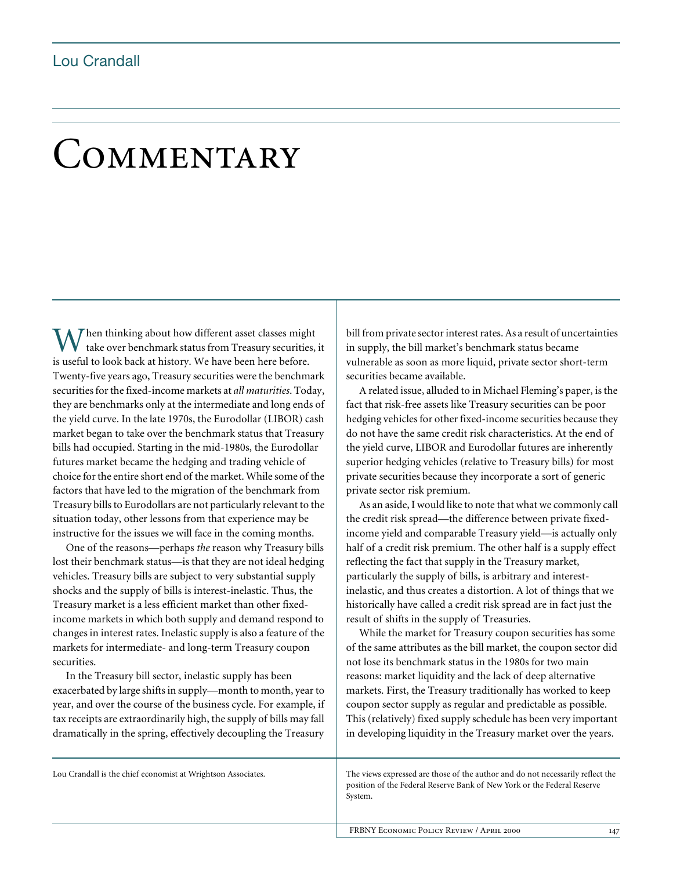## COMMENTARY

Then thinking about how different asset classes might take over benchmark status from Treasury securities, it When thinking about how different asset classes mightake over benchmark status from Treasury securities is useful to look back at history. We have been here before. Twenty-five years ago, Treasury securities were the benchmark securities for the fixed-income markets at *all maturities*. Today, they are benchmarks only at the intermediate and long ends of the yield curve. In the late 1970s, the Eurodollar (LIBOR) cash market began to take over the benchmark status that Treasury bills had occupied. Starting in the mid-1980s, the Eurodollar futures market became the hedging and trading vehicle of choice for the entire short end of the market. While some of the factors that have led to the migration of the benchmark from Treasury bills to Eurodollars are not particularly relevant to the situation today, other lessons from that experience may be instructive for the issues we will face in the coming months.

One of the reasons—perhaps *the* reason why Treasury bills lost their benchmark status—is that they are not ideal hedging vehicles. Treasury bills are subject to very substantial supply shocks and the supply of bills is interest-inelastic. Thus, the Treasury market is a less efficient market than other fixedincome markets in which both supply and demand respond to changes in interest rates. Inelastic supply is also a feature of the markets for intermediate- and long-term Treasury coupon securities.

In the Treasury bill sector, inelastic supply has been exacerbated by large shifts in supply—month to month, year to year, and over the course of the business cycle. For example, if tax receipts are extraordinarily high, the supply of bills may fall dramatically in the spring, effectively decoupling the Treasury bill from private sector interest rates. As a result of uncertainties in supply, the bill market's benchmark status became vulnerable as soon as more liquid, private sector short-term securities became available.

A related issue, alluded to in Michael Fleming's paper, is the fact that risk-free assets like Treasury securities can be poor hedging vehicles for other fixed-income securities because they do not have the same credit risk characteristics. At the end of the yield curve, LIBOR and Eurodollar futures are inherently superior hedging vehicles (relative to Treasury bills) for most private securities because they incorporate a sort of generic private sector risk premium.

As an aside, I would like to note that what we commonly call the credit risk spread—the difference between private fixedincome yield and comparable Treasury yield—is actually only half of a credit risk premium. The other half is a supply effect reflecting the fact that supply in the Treasury market, particularly the supply of bills, is arbitrary and interestinelastic, and thus creates a distortion. A lot of things that we historically have called a credit risk spread are in fact just the result of shifts in the supply of Treasuries.

While the market for Treasury coupon securities has some of the same attributes as the bill market, the coupon sector did not lose its benchmark status in the 1980s for two main reasons: market liquidity and the lack of deep alternative markets. First, the Treasury traditionally has worked to keep coupon sector supply as regular and predictable as possible. This (relatively) fixed supply schedule has been very important in developing liquidity in the Treasury market over the years.

Lou Crandall is the chief economist at Wrightson Associates.

The views expressed are those of the author and do not necessarily reflect the position of the Federal Reserve Bank of New York or the Federal Reserve System.